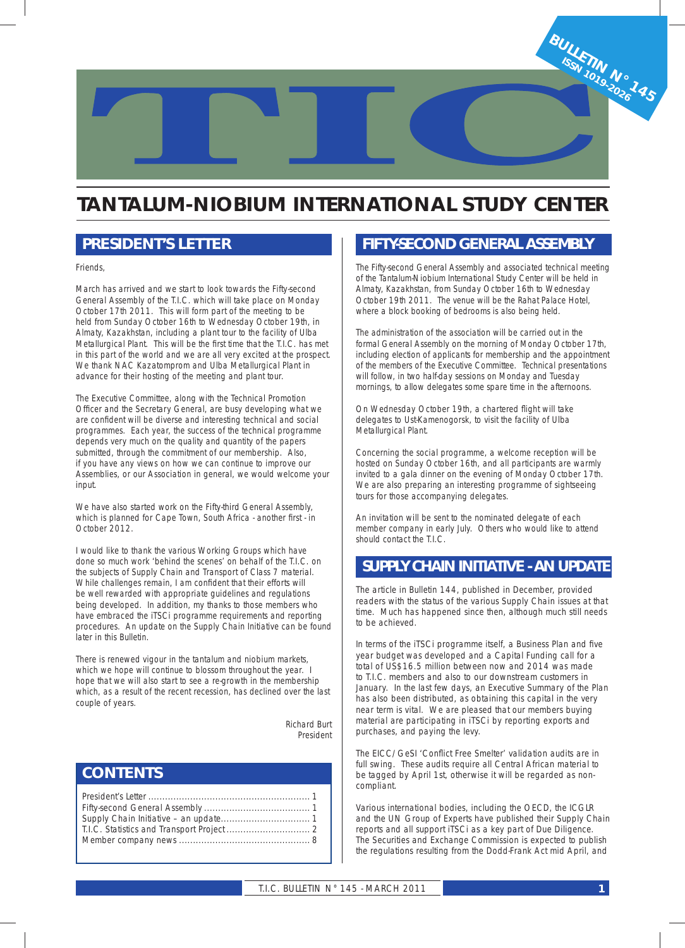

## **TANTALUM-NIOBIUM INTERNATIONAL STUDY CENTER**

### *PRESIDENT'S LETTER*

Friends,

March has arrived and we start to look towards the Fifty-second General Assembly of the T.I.C. which will take place on Monday October 17th 2011. This will form part of the meeting to be held from Sunday October 16th to Wednesday October 19th, in Almaty, Kazakhstan, including a plant tour to the facility of Ulba Metallurgical Plant. This will be the first time that the T.I.C. has met in this part of the world and we are all very excited at the prospect. We thank NAC Kazatomprom and Ulba Metallurgical Plant in advance for their hosting of the meeting and plant tour.

The Executive Committee, along with the Technical Promotion Officer and the Secretary General, are busy developing what we are confident will be diverse and interesting technical and social programmes. Each year, the success of the technical programme depends very much on the quality and quantity of the papers submitted, through the commitment of our membership. Also, if you have any views on how we can continue to improve our Assemblies, or our Association in general, we would welcome your input.

We have also started work on the Fifty-third General Assembly, which is planned for Cape Town, South Africa - another first - in October 2012.

I would like to thank the various Working Groups which have done so much work 'behind the scenes' on behalf of the T.I.C. on the subjects of Supply Chain and Transport of Class 7 material. While challenges remain, I am confident that their efforts will be well rewarded with appropriate guidelines and regulations being developed. In addition, my thanks to those members who have embraced the iTSCi programme requirements and reporting procedures. An update on the Supply Chain Initiative can be found later in this Bulletin.

There is renewed vigour in the tantalum and niobium markets, which we hope will continue to blossom throughout the year. I hope that we will also start to see a re-growth in the membership which, as a result of the recent recession, has declined over the last couple of years.

> Richard Burt President

### *CONTENTS*

### *FIFTY-SECOND GENERAL ASSEMBLY*

The Fifty-second General Assembly and associated technical meeting of the Tantalum-Niobium International Study Center will be held in Almaty, Kazakhstan, from Sunday October 16th to Wednesday October 19th 2011. The venue will be the Rahat Palace Hotel, where a block booking of bedrooms is also being held.

The administration of the association will be carried out in the formal General Assembly on the morning of Monday October 17th, including election of applicants for membership and the appointment of the members of the Executive Committee. Technical presentations will follow, in two half-day sessions on Monday and Tuesday mornings, to allow delegates some spare time in the afternoons.

On Wednesday October 19th, a chartered flight will take delegates to Ust-Kamenogorsk, to visit the facility of Ulba Metallurgical Plant.

Concerning the social programme, a welcome reception will be hosted on Sunday October 16th, and all participants are warmly invited to a gala dinner on the evening of Monday October 17th. We are also preparing an interesting programme of sightseeing tours for those accompanying delegates.

An invitation will be sent to the nominated delegate of each member company in early July. Others who would like to attend should contact the T.I.C.

### *SUPPLY CHAIN INITIATIVE - AN UPDATE*

The article in Bulletin 144, published in December, provided readers with the status of the various Supply Chain issues at that time. Much has happened since then, although much still needs to be achieved.

In terms of the iTSCi programme itself, a Business Plan and five year budget was developed and a Capital Funding call for a total of US\$16.5 million between now and 2014 was made to T.I.C. members and also to our downstream customers in January. In the last few days, an Executive Summary of the Plan has also been distributed, as obtaining this capital in the very near term is vital. We are pleased that our members buying material are participating in iTSCi by reporting exports and purchases, and paying the levy.

The EICC/GeSI 'Conflict Free Smelter' validation audits are in full swing. These audits require all Central African material to be tagged by April 1st, otherwise it will be regarded as noncompliant.

Various international bodies, including the OECD, the ICGLR and the UN Group of Experts have published their Supply Chain reports and all support iTSCi as a key part of Due Diligence. The Securities and Exchange Commission is expected to publish the regulations resulting from the Dodd-Frank Act mid April, and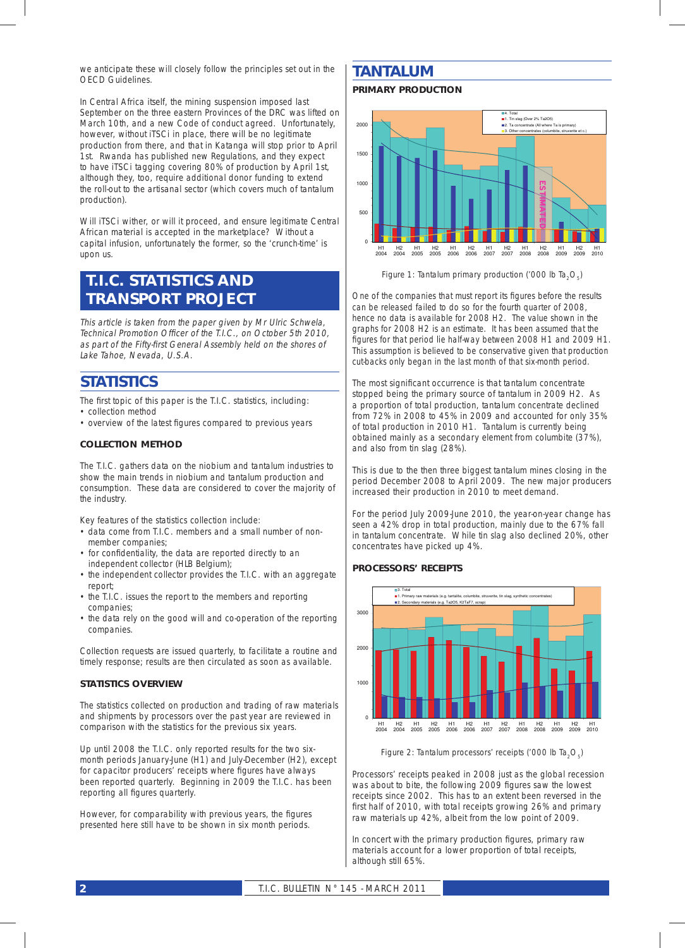we anticipate these will closely follow the principles set out in the OECD Guidelines.

In Central Africa itself, the mining suspension imposed last September on the three eastern Provinces of the DRC was lifted on March 10th, and a new Code of conduct agreed. Unfortunately, however, without iTSCi in place, there will be no legitimate production from there, and that in Katanga will stop prior to April 1st. Rwanda has published new Regulations, and they expect to have iTSCi tagging covering 80% of production by April 1st, although they, too, require additional donor funding to extend the roll-out to the artisanal sector (which covers much of tantalum production).

Will iTSCi wither, or will it proceed, and ensure legitimate Central African material is accepted in the marketplace? Without a capital infusion, unfortunately the former, so the 'crunch-time' is upon us.

### *T.I.C. STATISTICS AND TRANSPORT PROJECT*

This article is taken from the paper given by Mr Ulric Schwela, Technical Promotion Officer of the T.I.C., on October 5th 2010, as part of the Fifty-first General Assembly held on the shores of Lake Tahoe, Nevada, U.S.A.

### *STATISTICS*

The first topic of this paper is the T.I.C. statistics, including: • collection method

• overview of the latest figures compared to previous years

#### **COLLECTION METHOD**

The T.I.C. gathers data on the niobium and tantalum industries to show the main trends in niobium and tantalum production and consumption. These data are considered to cover the majority of the industry.

Key features of the statistics collection include:

- data come from T.I.C. members and a small number of nonmember companies;
- for confidentiality, the data are reported directly to an independent collector (HLB Belgium);
- the independent collector provides the T.I.C. with an aggregate report;
- the T.I.C. issues the report to the members and reporting companies;
- the data rely on the good will and co-operation of the reporting companies.

Collection requests are issued quarterly, to facilitate a routine and timely response; results are then circulated as soon as available.

#### **STATISTICS OVERVIEW**

The statistics collected on production and trading of raw materials and shipments by processors over the past year are reviewed in comparison with the statistics for the previous six years.

Up until 2008 the T.I.C. only reported results for the two sixmonth periods January-June (H1) and July-December (H2), except for capacitor producers' receipts where figures have always been reported quarterly. Beginning in 2009 the T.I.C. has been reporting all figures quarterly.

However, for comparability with previous years, the figures presented here still have to be shown in six month periods.

### *TANTALUM*

#### **PRIMARY PRODUCTION**



*Figure 1: Tantalum primary production ('000 lb Ta<sub>2</sub>O<sub>5</sub>)* 

One of the companies that must report its figures before the results can be released failed to do so for the fourth quarter of 2008, hence no data is available for 2008 H2. The value shown in the graphs for 2008 H2 is an estimate. It has been assumed that the figures for that period lie half-way between 2008 H1 and 2009 H1. This assumption is believed to be conservative given that production cut-backs only began in the last month of that six-month period.

The most significant occurrence is that tantalum concentrate stopped being the primary source of tantalum in 2009 H2. As a proportion of total production, tantalum concentrate declined from 72% in 2008 to 45% in 2009 and accounted for only 35% of total production in 2010 H1. Tantalum is currently being obtained mainly as a secondary element from columbite (37%), and also from tin slag (28%).

This is due to the then three biggest tantalum mines closing in the period December 2008 to April 2009. The new major producers increased their production in 2010 to meet demand.

For the period July 2009-June 2010, the year-on-year change has seen a 42% drop in total production, mainly due to the 67% fall in tantalum concentrate. While tin slag also declined 20%, other concentrates have picked up 4%.

#### **PROCESSORS' RECEIPTS**



*Figure 2: Tantalum processors' receipts ('000 lb Ta<sub>2</sub>O<sub>5</sub>)* 

Processors' receipts peaked in 2008 just as the global recession was about to bite, the following 2009 figures saw the lowest receipts since 2002. This has to an extent been reversed in the first half of 2010, with total receipts growing 26% and primary raw materials up 42%, albeit from the low point of 2009.

In concert with the primary production figures, primary raw materials account for a lower proportion of total receipts, although still 65%.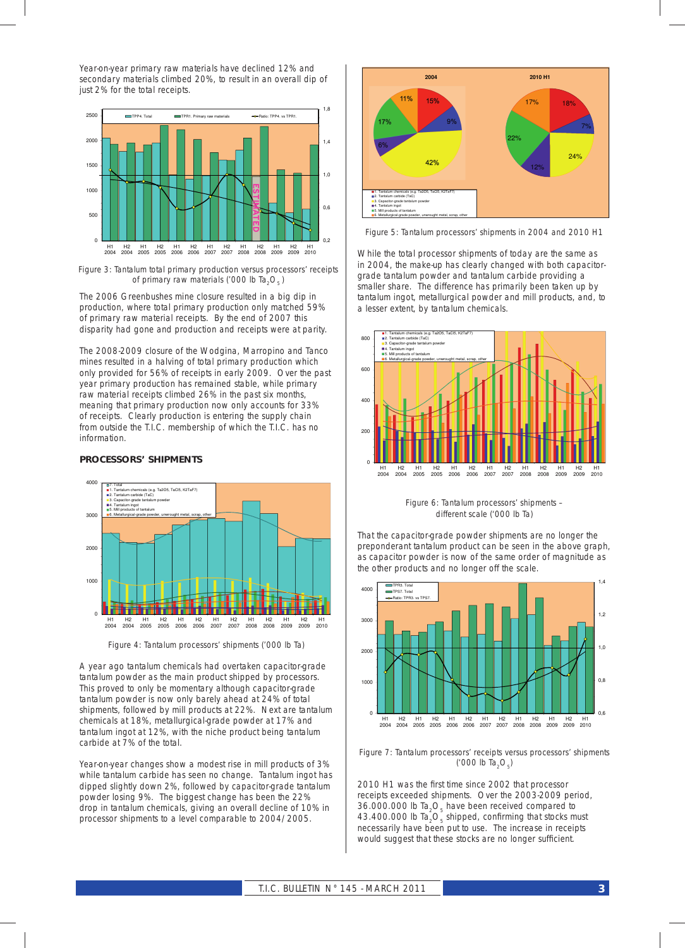Year-on-year primary raw materials have declined 12% and secondary materials climbed 20%, to result in an overall dip of just 2% for the total receipts.



*Figure 3: Tantalum total primary production versus processors' receipts of primary raw materials ('000 lb Ta<sub>2</sub>O<sub>5</sub>)* 

The 2006 Greenbushes mine closure resulted in a big dip in production, where total primary production only matched 59% of primary raw material receipts. By the end of 2007 this disparity had gone and production and receipts were at parity.

The 2008-2009 closure of the Wodgina, Marropino and Tanco mines resulted in a halving of total primary production which only provided for 56% of receipts in early 2009. Over the past year primary production has remained stable, while primary raw material receipts climbed 26% in the past six months, meaning that primary production now only accounts for 33% of receipts. Clearly production is entering the supply chain from outside the T.I.C. membership of which the T.I.C. has no information.

#### **PROCESSORS' SHIPMENTS**



*Figure 4: Tantalum processors' shipments ('000 lb Ta)*

A year ago tantalum chemicals had overtaken capacitor-grade tantalum powder as the main product shipped by processors. This proved to only be momentary although capacitor-grade tantalum powder is now only barely ahead at 24% of total shipments, followed by mill products at 22%. Next are tantalum chemicals at 18%, metallurgical-grade powder at 17% and tantalum ingot at 12%, with the niche product being tantalum carbide at 7% of the total.

Year-on-year changes show a modest rise in mill products of 3% while tantalum carbide has seen no change. Tantalum ingot has dipped slightly down 2%, followed by capacitor-grade tantalum powder losing 9%. The biggest change has been the 22% drop in tantalum chemicals, giving an overall decline of 10% in processor shipments to a level comparable to 2004/2005.



*Figure 5: Tantalum processors' shipments in 2004 and 2010 H1*

While the total processor shipments of today are the same as in 2004, the make-up has clearly changed with both capacitorgrade tantalum powder and tantalum carbide providing a smaller share. The difference has primarily been taken up by tantalum ingot, metallurgical powder and mill products, and, to a lesser extent, by tantalum chemicals.



*Figure 6: Tantalum processors' shipments – different scale ('000 lb Ta)*

That the capacitor-grade powder shipments are no longer the preponderant tantalum product can be seen in the above graph, as capacitor powder is now of the same order of magnitude as the other products and no longer off the scale.



*Figure 7: Tantalum processors' receipts versus processors' shipments ('000 lb Ta2O5)*

2010 H1 was the first time since 2002 that processor receipts exceeded shipments. Over the 2003-2009 period, 36.000.000 lb Ta<sub>2</sub>O<sub>5</sub> have been received compared to 43.400.000 lb Ta<sub>2</sub>O<sub>5</sub> shipped, confirming that stocks must necessarily have been put to use. The increase in receipts would suggest that these stocks are no longer sufficient.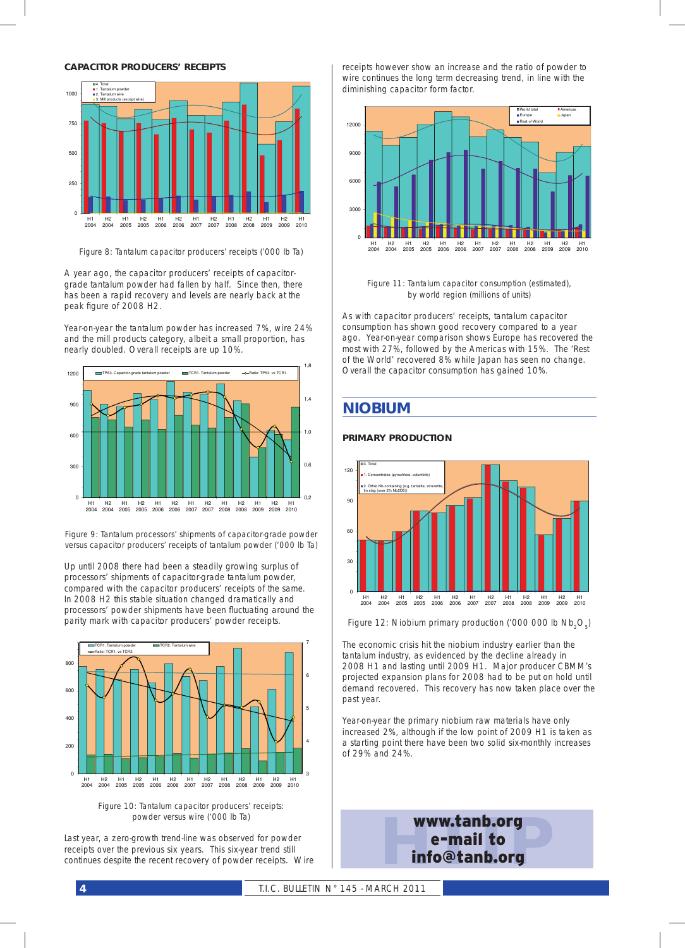

*Figure 8: Tantalum capacitor producers' receipts ('000 lb Ta)*

A year ago, the capacitor producers' receipts of capacitorgrade tantalum powder had fallen by half. Since then, there has been a rapid recovery and levels are nearly back at the peak figure of 2008 H2.

Year-on-year the tantalum powder has increased 7%, wire 24% and the mill products category, albeit a small proportion, has nearly doubled. Overall receipts are up 10%.



*Figure 9: Tantalum processors' shipments of capacitor-grade powder versus capacitor producers' receipts of tantalum powder ('000 lb Ta)*

Up until 2008 there had been a steadily growing surplus of processors' shipments of capacitor-grade tantalum powder, compared with the capacitor producers' receipts of the same. In 2008 H2 this stable situation changed dramatically and processors' powder shipments have been fluctuating around the parity mark with capacitor producers' powder receipts.



*Figure 10: Tantalum capacitor producers' receipts: powder versus wire ('000 lb Ta)*

Last year, a zero-growth trend-line was observed for powder receipts over the previous six years. This six-year trend still continues despite the recent recovery of powder receipts. Wire receipts however show an increase and the ratio of powder to wire continues the long term decreasing trend, in line with the diminishing capacitor form factor.



*Figure 11: Tantalum capacitor consumption (estimated), by world region (millions of units)*

As with capacitor producers' receipts, tantalum capacitor consumption has shown good recovery compared to a year ago. Year-on-year comparison shows Europe has recovered the most with 27%, followed by the Americas with 15%. The 'Rest of the World' recovered 8% while Japan has seen no change. Overall the capacitor consumption has gained 10%.

### *NIOBIUM*

#### **PRIMARY PRODUCTION**



*Figure 12: Niobium primary production ('000 000 lb Nb<sub>2</sub>O<sub>c</sub>)* 

The economic crisis hit the niobium industry earlier than the tantalum industry, as evidenced by the decline already in 2008 H1 and lasting until 2009 H1. Major producer CBMM's projected expansion plans for 2008 had to be put on hold until demand recovered. This recovery has now taken place over the past year.

Year-on-year the primary niobium raw materials have only increased 2%, although if the low point of 2009 H1 is taken as a starting point there have been two solid six-monthly increases of 29% and 24%.

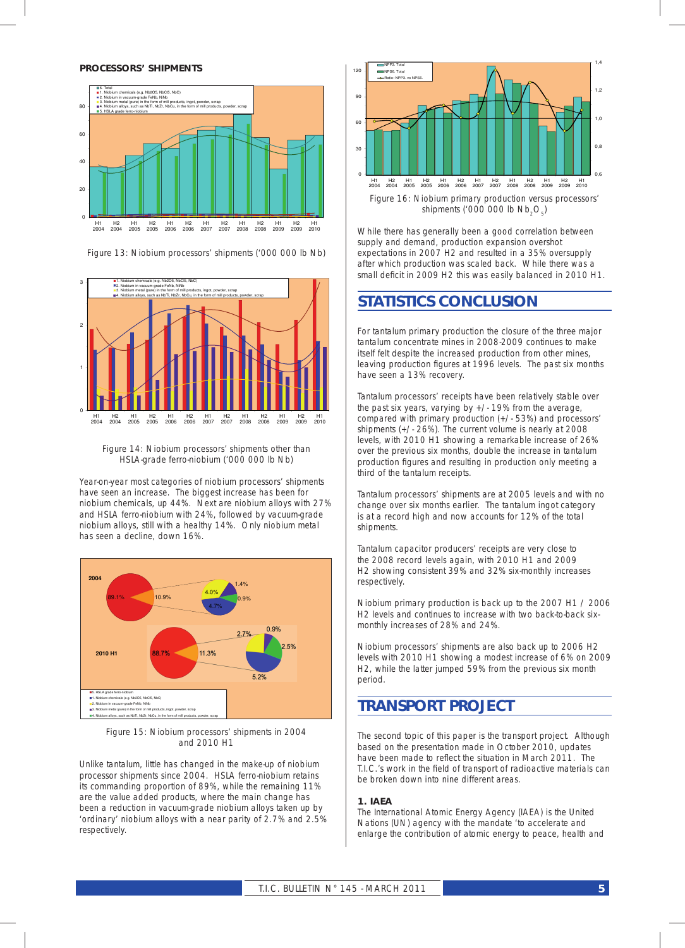#### **PROCESSORS' SHIPMENTS**



*Figure 13: Niobium processors' shipments ('000 000 lb Nb)*





Year-on-year most categories of niobium processors' shipments have seen an increase. The biggest increase has been for niobium chemicals, up 44%. Next are niobium alloys with 27% and HSLA ferro-niobium with 24%, followed by vacuum-grade niobium alloys, still with a healthy 14%. Only niobium metal has seen a decline, down 16%.



*Figure 15: Niobium processors' shipments in 2004 and 2010 H1*

Unlike tantalum, little has changed in the make-up of niobium processor shipments since 2004. HSLA ferro-niobium retains its commanding proportion of 89%, while the remaining 11% are the value added products, where the main change has been a reduction in vacuum-grade niobium alloys taken up by 'ordinary' niobium alloys with a near parity of 2.7% and 2.5% respectively.



While there has generally been a good correlation between supply and demand, production expansion overshot expectations in 2007 H2 and resulted in a 35% oversupply after which production was scaled back. While there was a small deficit in 2009 H2 this was easily balanced in 2010 H1.

### *STATISTICS CONCLUSION*

For tantalum primary production the closure of the three major tantalum concentrate mines in 2008-2009 continues to make itself felt despite the increased production from other mines, leaving production figures at 1996 levels. The past six months have seen a 13% recovery.

Tantalum processors' receipts have been relatively stable over the past six years, varying by +/- 19% from the average, compared with primary production (+/- 53%) and processors' shipments (+/- 26%). The current volume is nearly at 2008 levels, with 2010 H1 showing a remarkable increase of 26% over the previous six months, double the increase in tantalum production figures and resulting in production only meeting a third of the tantalum receipts.

Tantalum processors' shipments are at 2005 levels and with no change over six months earlier. The tantalum ingot category is at a record high and now accounts for 12% of the total shipments.

Tantalum capacitor producers' receipts are very close to the 2008 record levels again, with 2010 H1 and 2009 H2 showing consistent 39% and 32% six-monthly increases respectively.

Niobium primary production is back up to the 2007 H1 / 2006 H2 levels and continues to increase with two back-to-back sixmonthly increases of 28% and 24%.

Niobium processors' shipments are also back up to 2006 H2 levels with 2010 H1 showing a modest increase of 6% on 2009 H2, while the latter jumped 59% from the previous six month period.

### *TRANSPORT PROJECT*

The second topic of this paper is the transport project. Although based on the presentation made in October 2010, updates have been made to reflect the situation in March 2011. The T.I.C.'s work in the field of transport of radioactive materials can be broken down into nine different areas.

#### **1. IAEA**

The International Atomic Energy Agency (IAEA) is the United Nations (UN) agency with the mandate 'to accelerate and enlarge the contribution of atomic energy to peace, health and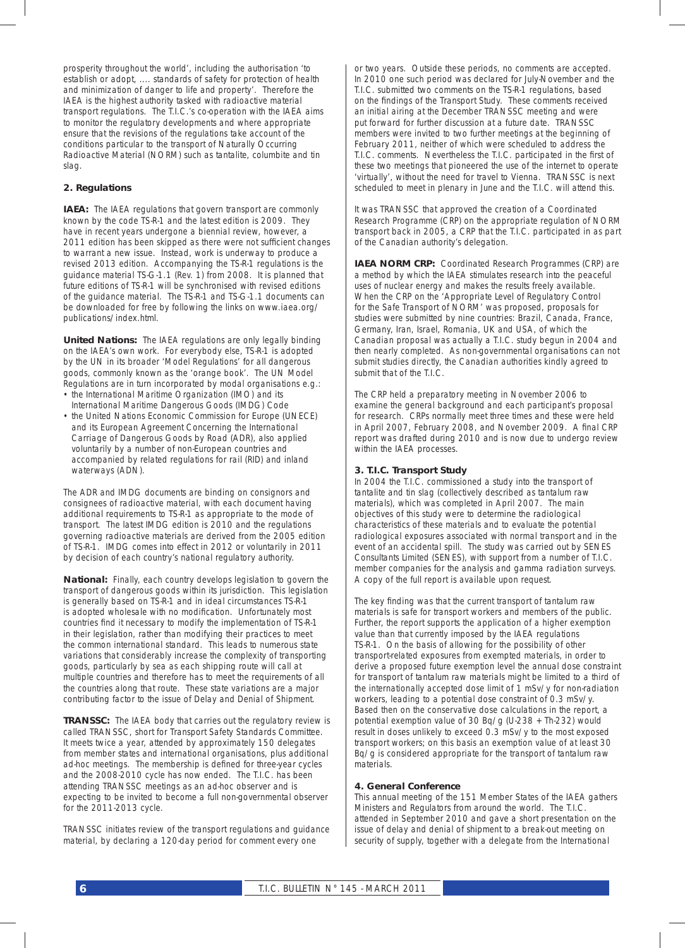prosperity throughout the world', including the authorisation 'to establish or adopt, .... standards of safety for protection of health and minimization of danger to life and property'. Therefore the IAEA is the highest authority tasked with radioactive material transport regulations. The T.I.C.'s co-operation with the IAEA aims to monitor the regulatory developments and where appropriate ensure that the revisions of the regulations take account of the conditions particular to the transport of Naturally Occurring Radioactive Material (NORM) such as tantalite, columbite and tin slag.

#### **2. Regulations**

*IAEA:* The IAEA regulations that govern transport are commonly known by the code TS-R-1 and the latest edition is 2009. They have in recent years undergone a biennial review, however, a 2011 edition has been skipped as there were not sufficient changes to warrant a new issue. Instead, work is underway to produce a revised 2013 edition. Accompanying the TS-R-1 regulations is the guidance material TS-G-1.1 (Rev. 1) from 2008. It is planned that future editions of TS-R-1 will be synchronised with revised editions of the guidance material. The TS-R-1 and TS-G-1.1 documents can be downloaded for free by following the links on www.iaea.org/ publications/index.html.

*United Nations:* The IAEA regulations are only legally binding on the IAEA's own work. For everybody else, TS-R-1 is adopted by the UN in its broader 'Model Regulations' for all dangerous goods, commonly known as the 'orange book'. The UN Model Regulations are in turn incorporated by modal organisations e.g.: • the International Maritime Organization (IMO) and its

- International Maritime Dangerous Goods (IMDG) Code
- the United Nations Economic Commission for Europe (UNECE) and its European Agreement Concerning the International Carriage of Dangerous Goods by Road (ADR), also applied voluntarily by a number of non-European countries and accompanied by related regulations for rail (RID) and inland waterways (ADN).

The ADR and IMDG documents are binding on consignors and consignees of radioactive material, with each document having additional requirements to TS-R-1 as appropriate to the mode of transport. The latest IMDG edition is 2010 and the regulations governing radioactive materials are derived from the 2005 edition of TS-R-1. IMDG comes into effect in 2012 or voluntarily in 2011 by decision of each country's national regulatory authority.

*National:* Finally, each country develops legislation to govern the transport of dangerous goods within its jurisdiction. This legislation is generally based on TS-R-1 and in ideal circumstances TS-R-1 is adopted wholesale with no modification. Unfortunately most countries find it necessary to modify the implementation of TS-R-1 in their legislation, rather than modifying their practices to meet the common international standard. This leads to numerous state variations that considerably increase the complexity of transporting goods, particularly by sea as each shipping route will call at multiple countries and therefore has to meet the requirements of all the countries along that route. These state variations are a major contributing factor to the issue of Delay and Denial of Shipment.

*TRANSSC:* The IAEA body that carries out the regulatory review is called TRANSSC, short for Transport Safety Standards Committee. It meets twice a year, attended by approximately 150 delegates from member states and international organisations, plus additional ad-hoc meetings. The membership is defined for three-year cycles and the 2008-2010 cycle has now ended. The T.I.C. has been attending TRANSSC meetings as an ad-hoc observer and is expecting to be invited to become a full non-governmental observer for the 2011-2013 cycle.

TRANSSC initiates review of the transport regulations and guidance material, by declaring a 120-day period for comment every one

or two years. Outside these periods, no comments are accepted. In 2010 one such period was declared for July-November and the T.I.C. submitted two comments on the TS-R-1 regulations, based on the findings of the Transport Study. These comments received an initial airing at the December TRANSSC meeting and were put forward for further discussion at a future date. TRANSSC members were invited to two further meetings at the beginning of February 2011, neither of which were scheduled to address the T.I.C. comments. Nevertheless the T.I.C. participated in the first of these two meetings that pioneered the use of the internet to operate 'virtually', without the need for travel to Vienna. TRANSSC is next scheduled to meet in plenary in June and the T.I.C. will attend this.

It was TRANSSC that approved the creation of a Coordinated Research Programme (CRP) on the appropriate regulation of NORM transport back in 2005, a CRP that the T.I.C. participated in as part of the Canadian authority's delegation.

**IAEA NORM CRP:** Coordinated Research Programmes (CRP) are a method by which the IAEA stimulates research into the peaceful uses of nuclear energy and makes the results freely available. When the CRP on the 'Appropriate Level of Regulatory Control for the Safe Transport of NORM' was proposed, proposals for studies were submitted by nine countries: Brazil, Canada, France, Germany, Iran, Israel, Romania, UK and USA, of which the Canadian proposal was actually a T.I.C. study begun in 2004 and then nearly completed. As non-governmental organisations can not submit studies directly, the Canadian authorities kindly agreed to submit that of the T.I.C.

The CRP held a preparatory meeting in November 2006 to examine the general background and each participant's proposal for research. CRPs normally meet three times and these were held in April 2007, February 2008, and November 2009. A final CRP report was drafted during 2010 and is now due to undergo review within the IAEA processes.

#### **3. T.I.C. Transport Study**

In 2004 the T.I.C. commissioned a study into the transport of tantalite and tin slag (collectively described as tantalum raw materials), which was completed in April 2007. The main objectives of this study were to determine the radiological characteristics of these materials and to evaluate the potential radiological exposures associated with normal transport and in the event of an accidental spill. The study was carried out by SENES Consultants Limited (SENES), with support from a number of T.I.C. member companies for the analysis and gamma radiation surveys. A copy of the full report is available upon request.

The key finding was that the current transport of tantalum raw materials is safe for transport workers and members of the public. Further, the report supports the application of a higher exemption value than that currently imposed by the IAEA regulations TS-R-1. On the basis of allowing for the possibility of other transport-related exposures from exempted materials, in order to derive a proposed future exemption level the annual dose constraint for transport of tantalum raw materials might be limited to a third of the internationally accepted dose limit of 1 mSv/y for non-radiation workers, leading to a potential dose constraint of 0.3 mSv/y. Based then on the conservative dose calculations in the report, a potential exemption value of 30 Bq/g (U-238 + Th-232) would result in doses unlikely to exceed 0.3 mSv/y to the most exposed transport workers; on this basis an exemption value of at least 30 Bq/g is considered appropriate for the transport of tantalum raw materials.

#### **4. General Conference**

This annual meeting of the 151 Member States of the IAEA gathers Ministers and Regulators from around the world. The T.I.C. attended in September 2010 and gave a short presentation on the issue of delay and denial of shipment to a break-out meeting on security of supply, together with a delegate from the International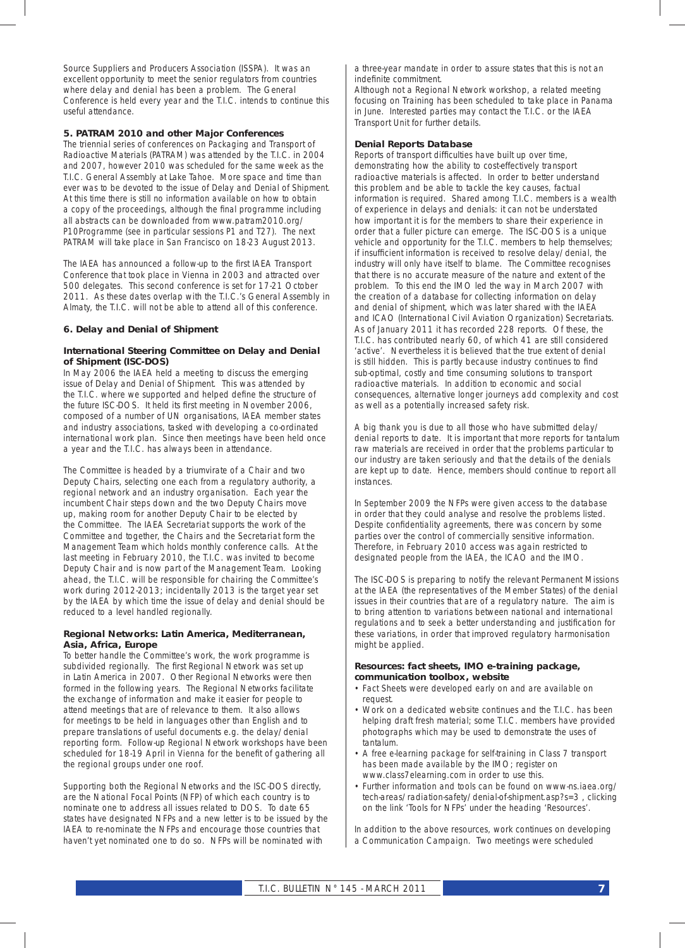Source Suppliers and Producers Association (ISSPA). It was an excellent opportunity to meet the senior regulators from countries where delay and denial has been a problem. The General Conference is held every year and the T.I.C. intends to continue this useful attendance.

#### **5. PATRAM 2010 and other Major Conferences**

The triennial series of conferences on Packaging and Transport of Radioactive Materials (PATRAM) was attended by the T.I.C. in 2004 and 2007, however 2010 was scheduled for the same week as the T.I.C. General Assembly at Lake Tahoe. More space and time than ever was to be devoted to the issue of Delay and Denial of Shipment. At this time there is still no information available on how to obtain a copy of the proceedings, although the final programme including all abstracts can be downloaded from www.patram2010.org/ P10Programme (see in particular sessions P1 and T27). The next PATRAM will take place in San Francisco on 18-23 August 2013.

The IAEA has announced a follow-up to the first IAEA Transport Conference that took place in Vienna in 2003 and attracted over 500 delegates. This second conference is set for 17-21 October 2011. As these dates overlap with the T.I.C.'s General Assembly in Almaty, the T.I.C. will not be able to attend all of this conference.

#### **6. Delay and Denial of Shipment**

#### *International Steering Committee on Delay and Denial of Shipment (ISC-DOS)*

In May 2006 the IAEA held a meeting to discuss the emerging issue of Delay and Denial of Shipment. This was attended by the T.I.C. where we supported and helped define the structure of the future ISC-DOS. It held its first meeting in November 2006, composed of a number of UN organisations, IAEA member states and industry associations, tasked with developing a co-ordinated international work plan. Since then meetings have been held once a year and the T.I.C. has always been in attendance.

The Committee is headed by a triumvirate of a Chair and two Deputy Chairs, selecting one each from a regulatory authority, a regional network and an industry organisation. Each year the incumbent Chair steps down and the two Deputy Chairs move up, making room for another Deputy Chair to be elected by the Committee. The IAEA Secretariat supports the work of the Committee and together, the Chairs and the Secretariat form the Management Team which holds monthly conference calls. At the last meeting in February 2010, the T.I.C. was invited to become Deputy Chair and is now part of the Management Team. Looking ahead, the T.I.C. will be responsible for chairing the Committee's work during 2012-2013; incidentally 2013 is the target year set by the IAEA by which time the issue of delay and denial should be reduced to a level handled regionally.

#### *Regional Networks: Latin America, Mediterranean, Asia, Africa, Europe*

To better handle the Committee's work, the work programme is subdivided regionally. The first Regional Network was set up in Latin America in 2007. Other Regional Networks were then formed in the following years. The Regional Networks facilitate the exchange of information and make it easier for people to attend meetings that are of relevance to them. It also allows for meetings to be held in languages other than English and to prepare translations of useful documents e.g. the delay/denial reporting form. Follow-up Regional Network workshops have been scheduled for 18-19 April in Vienna for the benefit of gathering all the regional groups under one roof.

Supporting both the Regional Networks and the ISC-DOS directly, are the National Focal Points (NFP) of which each country is to nominate one to address all issues related to DOS. To date 65 states have designated NFPs and a new letter is to be issued by the IAEA to re-nominate the NFPs and encourage those countries that haven't yet nominated one to do so. NFPs will be nominated with

a three-year mandate in order to assure states that this is not an indefinite commitment

Although not a Regional Network workshop, a related meeting focusing on Training has been scheduled to take place in Panama in June. Interested parties may contact the T.I.C. or the IAEA Transport Unit for further details.

#### *Denial Reports Database*

Reports of transport difficulties have built up over time, demonstrating how the ability to cost-effectively transport radioactive materials is affected. In order to better understand this problem and be able to tackle the key causes, factual information is required. Shared among T.I.C. members is a wealth of experience in delays and denials: it can not be understated how important it is for the members to share their experience in order that a fuller picture can emerge. The ISC-DOS is a unique vehicle and opportunity for the T.I.C. members to help themselves; if insufficient information is received to resolve delay/denial, the industry will only have itself to blame. The Committee recognises that there is no accurate measure of the nature and extent of the problem. To this end the IMO led the way in March 2007 with the creation of a database for collecting information on delay and denial of shipment, which was later shared with the IAEA and ICAO (International Civil Aviation Organization) Secretariats. As of January 2011 it has recorded 228 reports. Of these, the T.I.C. has contributed nearly 60, of which 41 are still considered 'active'. Nevertheless it is believed that the true extent of denial is still hidden. This is partly because industry continues to find sub-optimal, costly and time consuming solutions to transport radioactive materials. In addition to economic and social consequences, alternative longer journeys add complexity and cost as well as a potentially increased safety risk.

A big thank you is due to all those who have submitted delay/ denial reports to date. It is important that more reports for tantalum raw materials are received in order that the problems particular to our industry are taken seriously and that the details of the denials are kept up to date. Hence, members should continue to report all instances.

In September 2009 the NFPs were given access to the database in order that they could analyse and resolve the problems listed. Despite confidentiality agreements, there was concern by some parties over the control of commercially sensitive information. Therefore, in February 2010 access was again restricted to designated people from the IAEA, the ICAO and the IMO.

The ISC-DOS is preparing to notify the relevant Permanent Missions at the IAEA (the representatives of the Member States) of the denial issues in their countries that are of a regulatory nature. The aim is to bring attention to variations between national and international regulations and to seek a better understanding and justification for these variations, in order that improved regulatory harmonisation might be applied.

#### *Resources: fact sheets, IMO e-training package, communication toolbox, website*

- Fact Sheets were developed early on and are available on request.
- Work on a dedicated website continues and the T.I.C. has been helping draft fresh material; some T.I.C. members have provided photographs which may be used to demonstrate the uses of tantalum.
- A free e-learning package for self-training in Class 7 transport has been made available by the IMO; register on www.class7elearning.com in order to use this.
- Further information and tools can be found on www-ns.iaea.org/ tech-areas/radiation-safety/denial-of-shipment.asp?s=3 , clicking on the link 'Tools for NFPs' under the heading 'Resources'.

In addition to the above resources, work continues on developing a Communication Campaign. Two meetings were scheduled